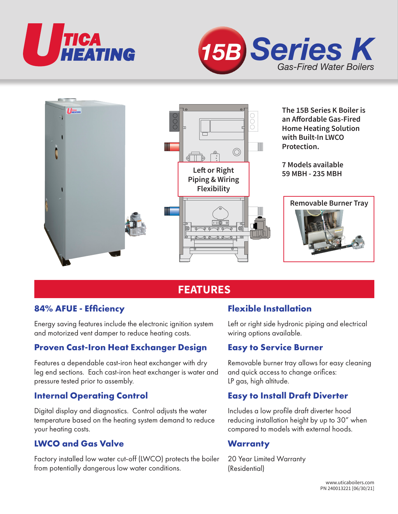





# **FEATURES**

## **84% AFUE - Efficiency**

Energy saving features include the electronic ignition system and motorized vent damper to reduce heating costs.

# **Proven Cast-Iron Heat Exchanger Design**

Features a dependable cast-iron heat exchanger with dry leg end sections. Each cast-iron heat exchanger is water and pressure tested prior to assembly.

## **Internal Operating Control**

Digital display and diagnostics. Control adjusts the water temperature based on the heating system demand to reduce your heating costs.

## **LWCO and Gas Valve**

Factory installed low water cut-off (LWCO) protects the boiler from potentially dangerous low water conditions.

## **Flexible Installation**

Left or right side hydronic piping and electrical wiring options available.

#### **Easy to Service Burner**

Removable burner tray allows for easy cleaning and quick access to change orifices: LP gas, high altitude.

## **Easy to Install Draft Diverter**

Includes a low profile draft diverter hood reducing installation height by up to 30" when compared to models with external hoods.

#### **Warranty**

20 Year Limited Warranty (Residential)